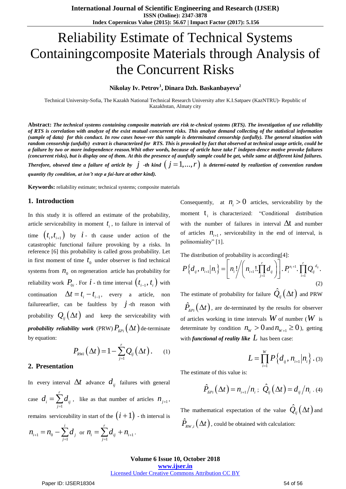# Reliability Estimate of Technical Systems Containingcomposite Materials through Analysis of the Concurrent Risks

## **Nikolay Iv. Petrov<sup>1</sup> , Dinara Dzh. Baskanbayeva<sup>2</sup>**

Technical University-Sofia, The Kazakh National Technical Research University after K.I.Satpaev (KazNTRU)- Republic of Kazakhstan, Almaty city

**Abstract:** *The technical systems containing composite materials are risk te-chnical systems (RTS). The investigation of use reliability of RTS is correlation with analyze of the exist mutual concurrent risks. This analyze demand collecting of the statistical information (sample of data) for this conduct. In row cases howe-ver this sample is determinated censorship (unfully). The general situation with random censorship (unfully) extract is characterized for RTS. This is provoked by fact that observed at technical usage article, could be a failure by two or more independence reason.Whit other words, because of article have take r indepen-dence motive provoke failures (concurrent risks), but is display one of them. At this the presence of aunfully sample could be get, while same at different kind failures.*  Therefore, obseved time a failure of article by  $j$  -th kind  $(j = 1,...,r)$  is determi-nated by realizetion of convention random

*quantity (by condition, at isn't step a fai-lure at other kind).*

**Keywords:** reliability estimate; technical systems; composite materials

#### **1. Introduction**

In this study it is offered an estimate of the probability, article serviceability in moment  $t_i$ , to failure in interval of time  $(t_i, t_{i+1})$  by  $i$  - th cause under action of the catastrophic functional failure provoking by a risks. In reference [6] this probability is called gross probability. Let in first moment of time  $t_0$  under observer is find technical systems from  $n_0$  on regeneration article has probability for reliability work  $P_{0i}$ . For  $i$  - th time interval  $(t_{i-1}, t_i)$  with continuation  $\Delta t = t_i - t_{i-1}$ , every a article, non failureearlier, can be faultless by  $\dot{j}$ -th reason with probability  $Q_{ij}(\Delta t)$  and keep the serviceability with  $\bm{p}$ robability  $\bm{r}$ eliability work (PRW) $P_{\scriptscriptstyle{EPi}}\big(\Delta t\big)$ de-terminate by equation:

$$
P_{RWi}\left(\Delta t\right) = 1 - \sum_{j=1}^{r} Q_{ij}\left(\Delta t\right). \qquad (1)
$$

#### **2. Presentation**

In every interval  $\Delta t$  advance  $d_{ij}$  failures with general case 1 *r*  $\sum_{j=1}^i \mathbf{u}_{ij}$  $d_i = \sum d_i$  $=\sum_{j=1}^{\infty} d_{ij}$ , like as that number of articles  $n_{j+1}$ ,

remains serviceability in start of the  $(i+1)$  - th interval is

$$
n_{i+1} = n_0 - \sum_{j=1}^i d_j \text{ or } n_i = \sum_{j=1}^r d_{ij} + n_{i+1}.
$$

Consequently, at  $n_i > 0$  articles, serviceability by the moment  $t_i$  is characterized: "Conditional distribution with the number of failures in interval  $\Delta t$  and number of articles  $n_{i+1}$ , serviceability in the end of interval, is polinomiality" [1].

The distribution of probability is according [4]:  
\n
$$
P\left\{d_{ij}, n_{i+1} | n_i\right\} = \left[n_i! \bigg/ \left(n_{i+1}! \prod_{j=1}^r d_{ij}\right)\right]. P_i^{n_i+1} \cdot \prod_{i=1}^r Q_{ij}^{d_{ij}}.
$$
\n(2)

The estimate of probability for failure  $\hat{\mathcal{Q}}_{ij} \big( \Delta t \big)$  and PRW

 $\hat{P}_{\scriptscriptstyle{EPi}}(\Delta t)$ , are de-terminated by the results for observer of articles working in time intervals  $W$  of number ( $W$  is determinate by condition  $n_w > 0$  and  $n_{w+1} \ge 0$ ), getting with *functional of reality like*  $L$  has been case:

$$
L = \prod_{i=1}^{W} P\left\{d_{ij}, n_{i+1} | n_{i}\right\}.
$$
 (3)

The estimate of this value is:

$$
\hat{P}_{EPI}(\Delta t) = n_{i+1}/n_i; \ \hat{Q}_{ij}(\Delta t) = d_{ij}/n_i
$$
. (4)

The mathematical expectation of the value  $\hat{Q}_{ij}(\Delta t)$  and  $\hat{P}_{_{RW,i}}\big(\Delta t\big)$  , could be obtained with calculation:

### **Volume 6 Issue 10, October 2018 <www.ijser.in>**

# [Licensed Under Creative Commons Attribution CC BY](http://creativecommons.org/licenses/by/4.0/)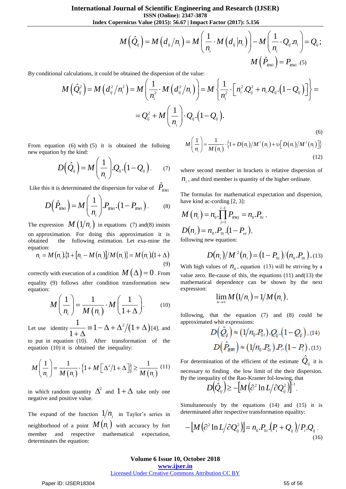**ISSN (Online): 2347-3878**

**International Journal of Scientific Engineering and Research (IJSER)**  
\n
$$
\begin{aligned}\n\text{ISSN (Online): } & 2347-3878 \\
\text{Index Copernicus Value (2015): } & 56.67 \mid \text{Import Factor (2017): } & 5.156 \\
M\left(\hat{Q}_{ij}\right) &= M\left(d_{ij}/n_i\right) = M\left(\frac{1}{n_i} \cdot M\left(d_{ij}|n_i\right)\right) - M\left(\frac{1}{n_i} \cdot Q_{ij}.n_i\right) = Q_{ij}; \\
M\left(\hat{P}_{iWij}\right) &= P_{RWi}.(5)\n\end{aligned}
$$
\nculations, it could be obtained the dispersion of the value:

\n
$$
\left(\hat{Q}_{ij}^2\right) = M\left(d_{ij}^2/n_i^2\right) = M\left(\frac{1}{n_i^2} \cdot M\left(d_{ij}^2/n_i\right)\right) = M\left\{\frac{1}{n_i^2} \cdot \left[n_i^2 \cdot Q_{ij}^2 + n_i \cdot Q_{ij}.(1 - Q_{ij})\right]\right\} =
$$

$$
M(Q_{y}) = M\left(\frac{1}{n_{y}}\cdot M\left(d_{y}\right)n_{y}\right) = M\left(\frac{1}{n_{y}}\cdot M\left(d_{y}\right)n_{y}\right) - M\left(\frac{1}{n_{z}}\cdot Q_{y}n_{z}\right) = Q_{y};
$$
  
By conditional calculations, it could be obtained the dispersion of the value:  

$$
M\left(\hat{Q}_{y}^{2}\right) = M\left(d_{y}^{2}/n_{y}^{2}\right) = M\left(\frac{1}{n_{y}^{2}}\cdot M\left(d_{y}^{2}/n_{y}\right)\right) = M\left\{\frac{1}{n_{y}^{2}}\cdot\left[n_{y}^{2}Q_{y}^{2} + n_{z}Q_{y}\cdot(1-Q_{y})\right]\right\} =
$$

$$
= Q_{y}^{2} + M\left(\frac{1}{n_{y}}\right) \cdot Q_{y}\cdot(1-Q_{y})
$$
 (6)  
From equation (6) with (5) it is obtained the following  

$$
D\left(\hat{Q}_{y}\right) = M\left(\frac{1}{n_{y}}\right)Q_{y}\cdot(1-Q_{y})
$$
 (7)  

$$
D\left(\hat{Q}_{y}\right) = M\left(\frac{1}{n_{y}}\right)Q_{y}\cdot(1-Q_{y})
$$
 (8)  

$$
D\left(\hat{Q}_{y}\right) = M\left(\frac{1}{n_{z}}\right)P_{\text{RW}}\cdot(1-Q_{y})
$$
 (9)  

$$
= \frac{Q_{y}^{2} + M\left(\frac{1}{n_{z}}\right)\cdot Q_{y}\cdot(1-Q_{y})}{n_{z}}.
$$
 The formula therefore is related to the system  

$$
M\left(n_{z}\right) = n_{z}\cdot\frac{1}{n_{z}}
$$
 (1)  $p_{z}\cdot\frac{1}{n_{z}}$  (1)  $p_{z}\cdot\frac{1}{n_{z}}$  (1)  $p_{z}\cdot\frac{1}{n_{z}}$  (1)  $p_{z}\cdot\frac{1}{n_{z}}$  (1)  $p_{z}\cdot\frac{1}{n_{z}}$  (1)  $p_{z}\cdot\frac{1}{n_{z}}$  (1)  $p_{z}\cdot\frac{1}{n_{z}}$  (1)  $p_{z}\cdot\frac{1}{n_{z}}$  (1)  $p_{z}\cdot\frac{1}{n_{z}}$ 

From equation (6) with (5) it is obtained the folloing new equation by the kind:

$$
D(\hat{Q}_{ij}) = M\left(\frac{1}{n_i}\right) Q_{ij} \cdot (1 - Q_{ij}).
$$
 (7)

Like this it is determined the dispersion for value of 
$$
\hat{P}_{RWi}
$$
  

$$
D(\hat{P}_{RWi}) = M\left(\frac{1}{n_i}\right) P_{RWi} \cdot \left(1 - P_{RWi}\right). \tag{8}
$$

The expression  $M\left(\frac{1}{n_i}\right)$  in equations (7) and(8) insists on approximation. For doing this approximation it is obtained the following estimation. Let exa-mine the equation:

$$
n_i = M(n_i) \{1 + [n_i - M(n_i)] / M(n_i)\} = M(n_i) (1 + \Delta)
$$
\n(9)

correctly with execution of a condition  $M(\Delta)$  = 0. From equality (9) follows after condition transformation new equation:

$$
M\left(\frac{1}{n_i}\right) = \frac{1}{M\left(n_i\right)} \cdot M\left(\frac{1}{1+\Delta}\right). \tag{10}
$$

Let use identity  $\frac{1}{1} = 1 - \Delta + \Delta^2/(1 + \Delta)$  $\frac{1}{1.4} \equiv 1 - \Delta + \Delta^2/(1$ 1  $\equiv 1 - \Delta + \Delta^2/(1 + \Delta)$ [4]  $\frac{1}{+\Delta}$  = 1 -  $\Delta + \Delta^2/(1+\Delta)$  [4], and

to put in equation (10). After transformation of the

equation (10) it is obtained the inequality:  
\n
$$
M\left(\frac{1}{n_i}\right) = \frac{1}{M(n_i)} \cdot \left\{1 + M\left[\Delta^2/1 + \Delta\right]\right\} \ge \frac{1}{M(n_i)} \tag{11}
$$

in which random quantity  $\Delta^2$  and  $1+\Delta$  take only one negative and positive value.

The expand of the function  $1/n_i$  in Taylor's series in neighborhood of a point  $M(n_i)$  with accuracy by fort member and respective mathematical expectation, determinates the equation:

(6)  

$$
M\left(\frac{1}{n_i}\right) = \frac{1}{M(n_i)} \cdot \left\{1 + D(n_i)/M^2(n_i) + \nu[D(n_i)/M^2(n_i)]\right\}
$$
(12)

where second member in brackets is relative dispersion of  $n_i$ , and third member is quantity of the higher ordinate.

The formulas for mathematical expectation and dispersion, have kind ac-cording [2, 3]:

$$
M(n_i) = n_0 \cdot \prod_{j=1}^{i-1} P_{\text{RW}j} = n_0 P_{0i},
$$
  

$$
D(n_i) = n_0 P_{0i} (1 - P_{oi}),
$$
  
following new equation:

$$
D(n_i)/M^2(n_i) = (1 - P_{0i})/(n_0.P_{0i}).
$$
 (13)

With high values of  $n_0$ , equation (13) will be striving by a value zero. Be-cause of this, the equations (11) and(13) the mathematical dependence can be shown by the next expression:

$$
\lim_{n\to\infty}M\left(\frac{1}{n_i}\right)=\frac{1}{M\left(n_i\right)},
$$

following, that the equation (7) and (8) could be approximated whit expressions:

$$
D(\hat{Q}_{ij}) \approx (1/n_0.P_{0i}).Q_{ij}.(1-Q_{ij}).
$$
 (14)  

$$
D(\hat{P}_{Rm}) \approx (1/n_0.P_{0i}).P_{i}.(1-P_{i}).
$$
 (15)

For determination of the efficient of the estimate  $\hat{Q}_{ij}$  it is necessary to finding the low limit of the their dispersion. By the inequality of the Rao-Kramer fol-lowing, that

$$
D(\hat{Q}_{ij}) \geq -[M(\partial^2 \ln L/\partial Q_{ij}^2)]^{-1}.
$$

Simultaneously by the equations (14) and (15) it is determinated after respective transformation equality:

$$
-\left[M\left(\partial^2\ln L/\partial Q_{ij}^2\right)\right]=n_{0}.P_{0i}.\left(P_i+Q_{ij}\right)/P_i.Q_{ij}.
$$
\n(16)

#### **Volume 6 Issue 10, October 2018**

**<www.ijser.in>**